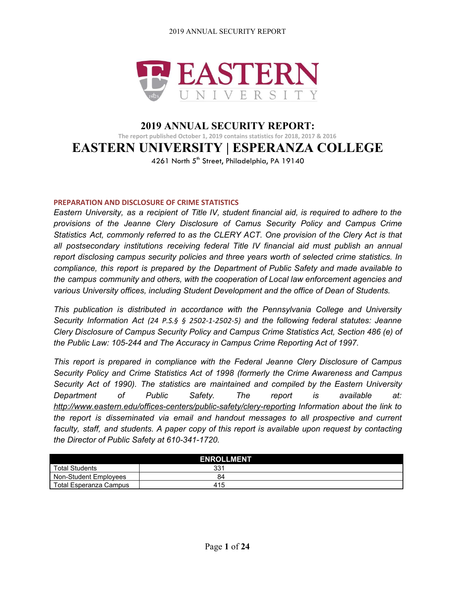

## **2019 ANNUAL SECURITY REPORT: The report published October 1, 2019 contains statistics for 2018, 2017 & 2016 EASTERN UNIVERSITY | ESPERANZA COLLEGE** 4261 North 5<sup>th</sup> Street, Philadelphia, PA 19140

### **PREPARATION AND DISCLOSURE OF CRIME STATISTICS**

*Eastern University, as a recipient of Title IV, student financial aid, is required to adhere to the provisions of the Jeanne Clery Disclosure of Camus Security Policy and Campus Crime Statistics Act, commonly referred to as the CLERY ACT. One provision of the Clery Act is that all postsecondary institutions receiving federal Title IV financial aid must publish an annual report disclosing campus security policies and three years worth of selected crime statistics. In compliance, this report is prepared by the Department of Public Safety and made available to the campus community and others, with the cooperation of Local law enforcement agencies and various University offices, including Student Development and the office of Dean of Students.*

*This publication is distributed in accordance with the Pennsylvania College and University Security Information Act (24 P.S.§ § 2502-1-2502-5) and the following federal statutes: Jeanne Clery Disclosure of Campus Security Policy and Campus Crime Statistics Act, Section 486 (e) of the Public Law: 105-244 and The Accuracy in Campus Crime Reporting Act of 1997.*

*This report is prepared in compliance with the Federal Jeanne Clery Disclosure of Campus Security Policy and Crime Statistics Act of 1998 (formerly the Crime Awareness and Campus Security Act of 1990). The statistics are maintained and compiled by the Eastern University Department of Public Safety. The report is available at: <http://www.eastern.edu/offices-centers/public-safety/clery-reporting> Information about the link to the report is disseminated via email and handout messages to all prospective and current faculty, staff, and students. A paper copy of this report is available upon request by contacting the Director of Public Safety at 610-341-1720*.

| <b>ENROLLMENT</b>      |     |  |  |  |  |
|------------------------|-----|--|--|--|--|
| <b>Total Students</b>  | 331 |  |  |  |  |
| Non-Student Employees  | 84  |  |  |  |  |
| Total Esperanza Campus | 415 |  |  |  |  |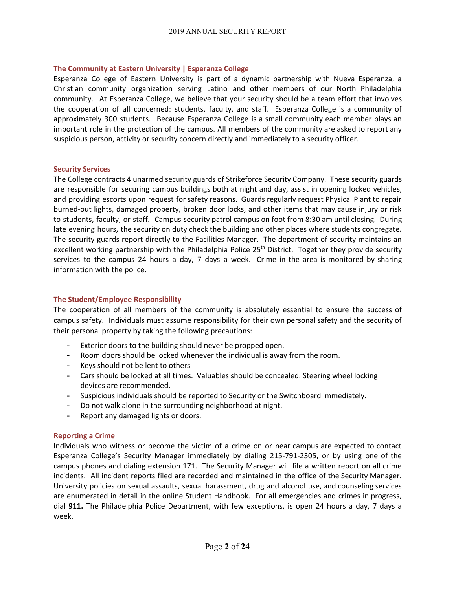### **The Community at Eastern University | Esperanza College**

Esperanza College of Eastern University is part of a dynamic partnership with Nueva Esperanza, a Christian community organization serving Latino and other members of our North Philadelphia community. At Esperanza College, we believe that your security should be a team effort that involves the cooperation of all concerned: students, faculty, and staff. Esperanza College is a community of approximately 300 students. Because Esperanza College is a small community each member plays an important role in the protection of the campus. All members of the community are asked to report any suspicious person, activity or security concern directly and immediately to a security officer.

### **Security Services**

The College contracts 4 unarmed security guards of Strikeforce Security Company. These security guards are responsible for securing campus buildings both at night and day, assist in opening locked vehicles, and providing escorts upon request for safety reasons. Guards regularly request Physical Plant to repair burned-out lights, damaged property, broken door locks, and other items that may cause injury or risk to students, faculty, or staff. Campus security patrol campus on foot from 8:30 am until closing. During late evening hours, the security on duty check the building and other places where students congregate. The security guards report directly to the Facilities Manager. The department of security maintains an excellent working partnership with the Philadelphia Police 25<sup>th</sup> District. Together they provide security services to the campus 24 hours a day, 7 days a week. Crime in the area is monitored by sharing information with the police.

### **The Student/Employee Responsibility**

The cooperation of all members of the community is absolutely essential to ensure the success of campus safety. Individuals must assume responsibility for their own personal safety and the security of their personal property by taking the following precautions:

- Exterior doors to the building should never be propped open.
- Room doors should be locked whenever the individual is away from the room.
- Keys should not be lent to others
- Cars should be locked at all times. Valuables should be concealed. Steering wheel locking devices are recommended.
- Suspicious individuals should be reported to Security or the Switchboard immediately.
- Do not walk alone in the surrounding neighborhood at night.
- Report any damaged lights or doors.

### **Reporting a Crime**

Individuals who witness or become the victim of a crime on or near campus are expected to contact Esperanza College's Security Manager immediately by dialing 215-791-2305, or by using one of the campus phones and dialing extension 171. The Security Manager will file a written report on all crime incidents. All incident reports filed are recorded and maintained in the office of the Security Manager. University policies on sexual assaults, sexual harassment, drug and alcohol use, and counseling services are enumerated in detail in the online Student Handbook. For all emergencies and crimes in progress, dial **911.** The Philadelphia Police Department, with few exceptions, is open 24 hours a day, 7 days a week.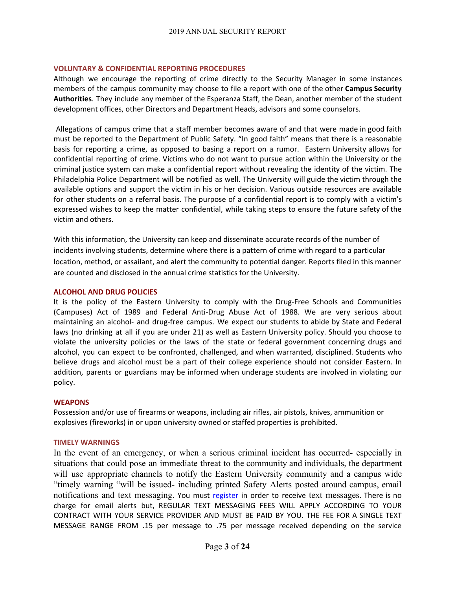#### **VOLUNTARY & CONFIDENTIAL REPORTING PROCEDURES**

Although we encourage the reporting of crime directly to the Security Manager in some instances members of the campus community may choose to file a report with one of the other **Campus Security Authorities**. They include any member of the Esperanza Staff, the Dean, another member of the student development offices, other Directors and Department Heads, advisors and some counselors.

Allegations of campus crime that a staff member becomes aware of and that were made in good faith must be reported to the Department of Public Safety. "In good faith" means that there is a reasonable basis for reporting a crime, as opposed to basing a report on a rumor. Eastern University allows for confidential reporting of crime. Victims who do not want to pursue action within the University or the criminal justice system can make a confidential report without revealing the identity of the victim. The Philadelphia Police Department will be notified as well. The University will guide the victim through the available options and support the victim in his or her decision. Various outside resources are available for other students on a referral basis. The purpose of a confidential report is to comply with a victim's expressed wishes to keep the matter confidential, while taking steps to ensure the future safety of the victim and others.

With this information, the University can keep and disseminate accurate records of the number of incidents involving students, determine where there is a pattern of crime with regard to a particular location, method, or assailant, and alert the community to potential danger. Reports filed in this manner are counted and disclosed in the annual crime statistics for the University.

### **ALCOHOL AND DRUG POLICIES**

It is the policy of the Eastern University to comply with the Drug-Free Schools and Communities (Campuses) Act of 1989 and Federal Anti-Drug Abuse Act of 1988. We are very serious about maintaining an alcohol- and drug-free campus. We expect our students to abide by State and Federal laws (no drinking at all if you are under 21) as well as Eastern University policy. Should you choose to violate the university policies or the laws of the state or federal government concerning drugs and alcohol, you can expect to be confronted, challenged, and when warranted, disciplined. Students who believe drugs and alcohol must be a part of their college experience should not consider Eastern. In addition, parents or guardians may be informed when underage students are involved in violating our policy.

#### **WEAPONS**

Possession and/or use of firearms or weapons, including air rifles, air pistols, knives, ammunition or explosives (fireworks) in or upon university owned or staffed properties is prohibited.

#### **TIMELY WARNINGS**

In the event of an emergency, or when a serious criminal incident has occurred- especially in situations that could pose an immediate threat to the community and individuals, the department will use appropriate channels to notify the Eastern University community and a campus wide "timely warning "will be issued- including printed Safety Alerts posted around campus, email notifications and text messaging. You must [register](http://www.eastern.edu/offices-centers/safety-and-security/eu-emergency-alert-system-0) in order to receive text messages. There is no charge for email alerts but, REGULAR TEXT MESSAGING FEES WILL APPLY ACCORDING TO YOUR CONTRACT WITH YOUR SERVICE PROVIDER AND MUST BE PAID BY YOU. THE FEE FOR A SINGLE TEXT MESSAGE RANGE FROM .15 per message to .75 per message received depending on the service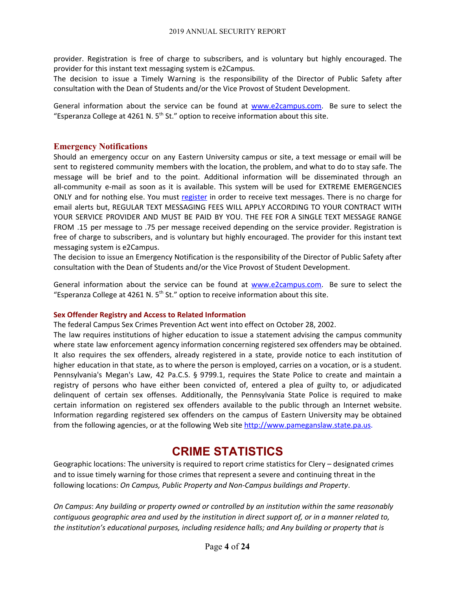provider. Registration is free of charge to subscribers, and is voluntary but highly encouraged. The provider for this instant text messaging system is e2Campus.

The decision to issue a Timely Warning is the responsibility of the Director of Public Safety after consultation with the Dean of Students and/or the Vice Provost of Student Development.

General information about the service can be found at [www.e2campus.com.](http://www.e2campus.com/) Be sure to select the "Esperanza College at 4261 N.  $5<sup>th</sup>$  St." option to receive information about this site.

### **Emergency Notifications**

Should an emergency occur on any Eastern University campus or site, a text message or email will be sent to registered community members with the location, the problem, and what to do to stay safe. The message will be brief and to the point. Additional information will be disseminated through an all-community e-mail as soon as it is available. This system will be used for EXTREME EMERGENCIES ONLY and for nothing else. You must [register](http://www.eastern.edu/offices-centers/safety-and-security/eu-emergency-alert-system-0) in order to receive text messages. There is no charge for email alerts but, REGULAR TEXT MESSAGING FEES WILL APPLY ACCORDING TO YOUR CONTRACT WITH YOUR SERVICE PROVIDER AND MUST BE PAID BY YOU. THE FEE FOR A SINGLE TEXT MESSAGE RANGE FROM .15 per message to .75 per message received depending on the service provider. Registration is free of charge to subscribers, and is voluntary but highly encouraged. The provider for this instant text messaging system is e2Campus.

The decision to issue an Emergency Notification is the responsibility of the Director of Public Safety after consultation with the Dean of Students and/or the Vice Provost of Student Development.

General information about the service can be found at [www.e2campus.com.](http://www.e2campus.com/) Be sure to select the "Esperanza College at 4261 N.  $5<sup>th</sup>$  St." option to receive information about this site.

### **Sex Offender Registry and Access to Related Information**

The federal Campus Sex Crimes Prevention Act went into effect on October 28, 2002.

The law requires institutions of higher education to issue a statement advising the campus community where state law enforcement agency information concerning registered sex offenders may be obtained. It also requires the sex offenders, already registered in a state, provide notice to each institution of higher education in that state, as to where the person is employed, carries on a vocation, or is a student. Pennsylvania's Megan's Law, 42 Pa.C.S. § 9799.1, requires the State Police to create and maintain a registry of persons who have either been convicted of, entered a plea of guilty to, or adjudicated delinquent of certain sex offenses. Additionally, the Pennsylvania State Police is required to make certain information on registered sex offenders available to the public through an Internet website. Information regarding registered sex offenders on the campus of Eastern University may be obtained from the following agencies, or at the following Web site [http://www.pameganslaw.state.pa.us](http://www.pameganslaw.state.pa.us/).

# **CRIME STATISTICS**

Geographic locations: The university is required to report crime statistics for Clery – designated crimes and to issue timely warning for those crimes that represent a severe and continuing threat in the following locations: *On Campus, Public Property and Non-Campus buildings and Property*.

*On Campus*: *Any building or property owned or controlled by an institution within the same reasonably* contiguous geographic area and used by the institution in direct support of, or in a manner related to, *the institution's educational purposes, including residence halls; and Any building or property that is*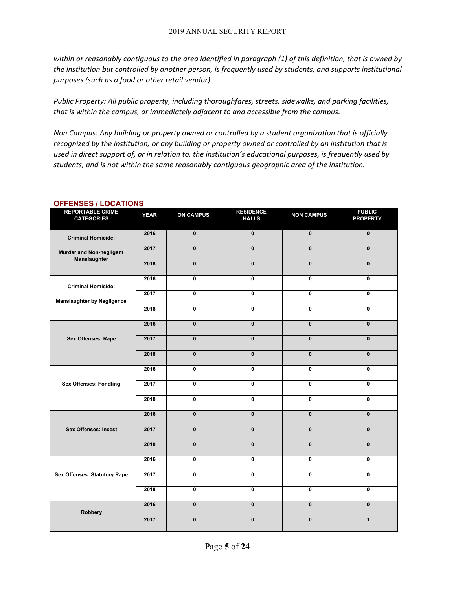within or reasonably contiguous to the area identified in paragraph (1) of this definition, that is owned by *the institution but controlled by another person, is frequently used by students, and supports institutional purposes (such as a food or other retail vendor).*

*Public Property: All public property, including thoroughfares, streets, sidewalks, and parking facilities, that is within the campus, or immediately adjacent to and accessible from the campus.*

*Non Campus: Any building or property owned or controlled by a student organization that is officially recognized by the institution; or any building or property owned or controlled by an institution that is* used in direct support of, or in relation to, the institution's educational purposes, is frequently used by *students, and is not within the same reasonably contiguous geographic area of the institution.*

| <b>REPORTABLE CRIME</b><br><b>CATEGORIES</b> | <b>YEAR</b> | <b>ON CAMPUS</b>        | <b>RESIDENCE</b><br><b>HALLS</b> | <b>NON CAMPUS</b> | <b>PUBLIC</b><br><b>PROPERTY</b> |
|----------------------------------------------|-------------|-------------------------|----------------------------------|-------------------|----------------------------------|
| <b>Criminal Homicide:</b>                    | 2016        | $\pmb{0}$               | $\overline{\mathbf{0}}$          | $\pmb{0}$         | $\overline{\mathbf{0}}$          |
| Murder and Non-negligent<br>Manslaughter     | 2017        | $\mathbf{0}$            | $\mathbf{0}$                     | $\mathbf{0}$      | $\mathbf{0}$                     |
|                                              | 2018        | $\mathbf{0}$            | $\mathbf{0}$                     | $\mathbf{0}$      | $\pmb{0}$                        |
| <b>Criminal Homicide:</b>                    | 2016        | 0                       | 0                                | 0                 | 0                                |
| <b>Manslaughter by Negligence</b>            | 2017        | 0                       | $\mathbf 0$                      | 0                 | 0                                |
|                                              | 2018        | $\mathbf{0}$            | $\mathbf{0}$                     | $\mathbf{0}$      | 0                                |
|                                              | 2016        | $\mathbf{0}$            | $\mathbf{0}$                     | $\mathbf{0}$      | $\mathbf{0}$                     |
| <b>Sex Offenses: Rape</b>                    | 2017        | $\mathbf{0}$            | $\mathbf{0}$                     | $\mathbf{0}$      | $\mathbf{0}$                     |
|                                              | 2018        | $\mathbf{0}$            | $\mathbf{0}$                     | $\mathbf{0}$      | $\mathbf{0}$                     |
|                                              | 2016        | 0                       | $\mathbf{0}$                     | $\mathbf{0}$      | $\mathbf 0$                      |
| <b>Sex Offenses: Fondling</b>                | 2017        | 0                       | $\mathbf 0$                      | 0                 | $\mathbf 0$                      |
|                                              | 2018        | 0                       | $\mathbf 0$                      | 0                 | $\mathbf 0$                      |
|                                              | 2016        | $\overline{\mathbf{0}}$ | $\overline{\mathbf{0}}$          | $\mathbf{0}$      | $\overline{\mathbf{0}}$          |
| <b>Sex Offenses: Incest</b>                  | 2017        | $\mathbf{0}$            | $\mathbf{0}$                     | $\mathbf{0}$      | $\mathbf{0}$                     |
|                                              | 2018        | $\mathbf{0}$            | $\mathbf{0}$                     | $\mathbf{0}$      | $\pmb{0}$                        |
|                                              | 2016        | $\mathbf{0}$            | $\mathbf{0}$                     | $\mathbf{0}$      | 0                                |
| <b>Sex Offenses: Statutory Rape</b>          | 2017        | 0                       | $\mathbf 0$                      | 0                 | $\mathbf 0$                      |
|                                              | 2018        | $\mathbf{0}$            | $\mathbf{0}$                     | $\mathbf{0}$      | $\mathbf 0$                      |
| Robbery                                      | 2016        | $\mathbf{0}$            | $\mathbf{0}$                     | $\mathbf{0}$      | $\mathbf{0}$                     |
|                                              | 2017        | $\mathbf{0}$            | $\mathbf{0}$                     | $\mathbf{0}$      | $\mathbf{1}$                     |

### **OFFENSES / LOCATIONS**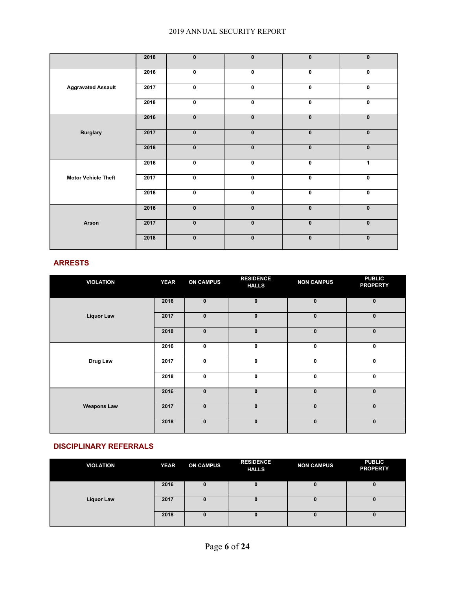|                            | 2018 | $\mathbf{0}$ | $\mathbf{0}$ | $\mathbf{0}$ | $\mathbf{0}$ |
|----------------------------|------|--------------|--------------|--------------|--------------|
|                            | 2016 | $\bf{0}$     | 0            | $\pmb{0}$    | $\pmb{0}$    |
| <b>Aggravated Assault</b>  | 2017 | $\mathbf 0$  | 0            | $\mathbf 0$  | $\pmb{0}$    |
|                            | 2018 | $\mathbf 0$  | 0            | $\mathbf 0$  | $\pmb{0}$    |
|                            | 2016 | $\mathbf{0}$ | $\pmb{0}$    | $\mathbf{0}$ | $\pmb{0}$    |
| <b>Burglary</b>            | 2017 | $\mathbf{0}$ | $\mathbf{0}$ | $\mathbf{0}$ | $\pmb{0}$    |
|                            | 2018 | $\mathbf{0}$ | $\pmb{0}$    | $\pmb{0}$    | $\pmb{0}$    |
|                            | 2016 | $\mathbf 0$  | 0            | $\mathbf 0$  | 1            |
| <b>Motor Vehicle Theft</b> | 2017 | $\pmb{0}$    | 0            | $\mathbf 0$  | $\pmb{0}$    |
|                            | 2018 | $\bf{0}$     | 0            | $\pmb{0}$    | $\pmb{0}$    |
|                            | 2016 | $\mathbf{0}$ | $\mathbf{0}$ | $\mathbf{0}$ | $\pmb{0}$    |
| Arson                      | 2017 | $\mathbf{0}$ | $\mathbf{0}$ | $\pmb{0}$    | $\pmb{0}$    |
|                            | 2018 | $\mathbf{0}$ | $\mathbf{0}$ | $\mathbf{0}$ | $\mathbf{0}$ |

### **ARRESTS**

| <b>VIOLATION</b>   | <b>YEAR</b> | <b>ON CAMPUS</b> | <b>RESIDENCE</b><br><b>HALLS</b> | <b>NON CAMPUS</b> | <b>PUBLIC</b><br><b>PROPERTY</b> |
|--------------------|-------------|------------------|----------------------------------|-------------------|----------------------------------|
|                    | 2016        | $\mathbf{0}$     | $\mathbf{0}$                     | $\mathbf{0}$      | $\bf{0}$                         |
| <b>Liquor Law</b>  | 2017        | $\pmb{0}$        | $\bf{0}$                         | $\bf{0}$          | $\mathbf 0$                      |
|                    | 2018        | $\mathbf{0}$     | $\bf{0}$                         | $\mathbf{0}$      | $\mathbf{0}$                     |
|                    | 2016        | 0                | 0                                | 0                 | 0                                |
| Drug Law           | 2017        | 0                | 0                                | 0                 | $\mathbf 0$                      |
|                    | 2018        | $\mathbf 0$      | 0                                | $\mathbf 0$       | $\mathbf 0$                      |
|                    | 2016        | $\mathbf{0}$     | $\mathbf{0}$                     | $\mathbf{0}$      | $\mathbf{0}$                     |
| <b>Weapons Law</b> | 2017        | $\bf{0}$         | $\bf{0}$                         | $\mathbf{0}$      | $\mathbf{0}$                     |
|                    | 2018        | $\pmb{0}$        | $\bf{0}$                         | $\bf{0}$          | $\mathbf 0$                      |

### **DISCIPLINARY REFERRALS**

| <b>VIOLATION</b>  | <b>YEAR</b> | <b>ON CAMPUS</b> | <b>RESIDENCE</b><br><b>HALLS</b> | <b>NON CAMPUS</b> | <b>PUBLIC</b><br><b>PROPERTY</b> |
|-------------------|-------------|------------------|----------------------------------|-------------------|----------------------------------|
|                   | 2016        | 0                |                                  | 0                 |                                  |
| <b>Liquor Law</b> | 2017        | $\bf{0}$         |                                  | o                 |                                  |
|                   | 2018        | 0                |                                  | 0                 |                                  |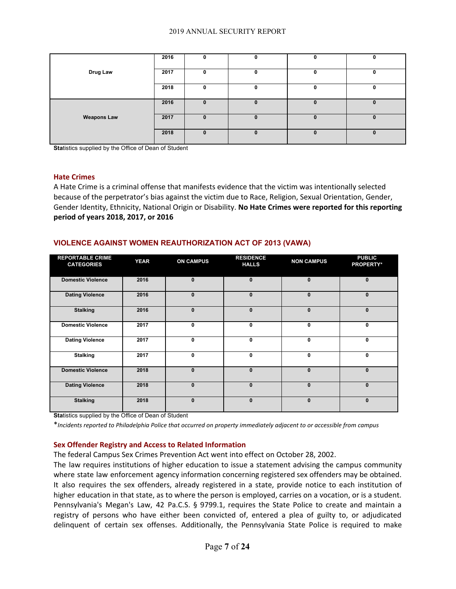|                    | 2016 | O |   | 0            | 0        |
|--------------------|------|---|---|--------------|----------|
|                    |      |   |   |              |          |
| Drug Law           | 2017 | 0 |   | $\mathbf{0}$ | 0        |
|                    |      |   |   |              |          |
|                    | 2018 | 0 |   | 0            | 0        |
|                    |      |   |   |              |          |
|                    | 2016 | U |   |              | 0        |
|                    |      |   |   |              |          |
| <b>Weapons Law</b> | 2017 | 0 | u | $\bf{0}$     | $\bf{0}$ |
|                    |      |   |   |              |          |
|                    | 2018 | 0 | n | $\bf{0}$     | $\bf{0}$ |
|                    |      |   |   |              |          |

**Sta**tistics supplied by the Office of Dean of Student

#### **Hate Crimes**

A Hate Crime is a criminal offense that manifests evidence that the victim was intentionally selected because of the perpetrator's bias against the victim due to Race, Religion, Sexual Orientation, Gender, Gender Identity, Ethnicity, National Origin or Disability. **No Hate Crimes were reported for this reporting period of years 2018, 2017, or 2016**

### **VIOLENCE AGAINST WOMEN REAUTHORIZATION ACT OF 2013 (VAWA)**

| <b>REPORTABLE CRIME</b><br><b>CATEGORIES</b> | <b>YEAR</b> | <b>ON CAMPUS</b> | <b>RESIDENCE</b><br><b>HALLS</b> | <b>NON CAMPUS</b> | <b>PUBLIC</b><br><b>PROPERTY*</b> |
|----------------------------------------------|-------------|------------------|----------------------------------|-------------------|-----------------------------------|
| <b>Domestic Violence</b>                     | 2016        | $\mathbf{0}$     | $\mathbf{0}$                     | $\mathbf{0}$      | $\mathbf{0}$                      |
| <b>Dating Violence</b>                       | 2016        | $\mathbf{0}$     | $\mathbf{0}$                     | $\mathbf{0}$      | $\mathbf{0}$                      |
| <b>Stalking</b>                              | 2016        | $\mathbf{0}$     | $\mathbf{0}$                     | $\mathbf{0}$      | $\mathbf{0}$                      |
| <b>Domestic Violence</b>                     | 2017        | 0                | 0                                | 0                 | 0                                 |
| <b>Dating Violence</b>                       | 2017        | $\mathbf{0}$     | 0                                | 0                 | 0                                 |
| <b>Stalking</b>                              | 2017        | 0                | 0                                | 0                 | $\mathbf{0}$                      |
| <b>Domestic Violence</b>                     | 2018        | $\mathbf{0}$     | $\mathbf{0}$                     | $\mathbf{0}$      | $\mathbf{0}$                      |
| <b>Dating Violence</b>                       | 2018        | $\mathbf{0}$     | $\mathbf{0}$                     | $\mathbf{0}$      | $\bf{0}$                          |
| <b>Stalking</b>                              | 2018        | $\mathbf{0}$     | $\mathbf{0}$                     | $\mathbf{0}$      | $\mathbf{0}$                      |

**Sta**tistics supplied by the Office of Dean of Student

\**Incidents reported to Philadelphia Police that occurred on property immediately adjacent to or accessible from campus*

#### **Sex Offender Registry and Access to Related Information**

The federal Campus Sex Crimes Prevention Act went into effect on October 28, 2002.

The law requires institutions of higher education to issue a statement advising the campus community where state law enforcement agency information concerning registered sex offenders may be obtained. It also requires the sex offenders, already registered in a state, provide notice to each institution of higher education in that state, as to where the person is employed, carries on a vocation, or is a student. Pennsylvania's Megan's Law, 42 Pa.C.S. § 9799.1, requires the State Police to create and maintain a registry of persons who have either been convicted of, entered a plea of guilty to, or adjudicated delinquent of certain sex offenses. Additionally, the Pennsylvania State Police is required to make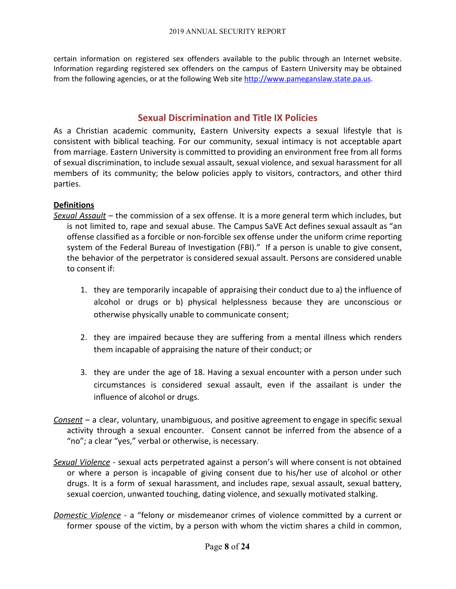certain information on registered sex offenders available to the public through an Internet website. Information regarding registered sex offenders on the campus of Eastern University may be obtained from the following agencies, or at the following Web site [http://www.pameganslaw.state.pa.us](http://www.pameganslaw.state.pa.us/).

## **Sexual Discrimination and Title IX Policies**

As a Christian academic community, Eastern University expects a sexual lifestyle that is consistent with biblical teaching. For our community, sexual intimacy is not acceptable apart from marriage. Eastern University is committed to providing an environment free from all forms of sexual discrimination, to include sexual assault, sexual violence, and sexual harassment for all members of its community; the below policies apply to visitors, contractors, and other third parties.

### **Definitions**

- *Sexual Assault* the commission of a sex offense. It is a more general term which includes, but is not limited to, rape and sexual abuse. The Campus SaVE Act defines sexual assault as "an offense classified as a forcible or non-forcible sex offense under the uniform crime reporting system of the Federal Bureau of Investigation (FBI)." If a person is unable to give consent, the behavior of the perpetrator is considered sexual assault. Persons are considered unable to consent if:
	- 1. they are temporarily incapable of appraising their conduct due to a) the influence of alcohol or drugs or b) physical helplessness because they are unconscious or otherwise physically unable to communicate consent;
	- 2. they are impaired because they are suffering from a mental illness which renders them incapable of appraising the nature of their conduct; or
	- 3. they are under the age of 18. Having a sexual encounter with a person under such circumstances is considered sexual assault, even if the assailant is under the influence of alcohol or drugs.
- *Consent* a clear, voluntary, unambiguous, and positive agreement to engage in specific sexual activity through a sexual encounter. Consent cannot be inferred from the absence of a "no"; a clear "yes," verbal or otherwise, is necessary.
- *Sexual Violence* sexual acts perpetrated against a person's will where consent is not obtained or where a person is incapable of giving consent due to his/her use of alcohol or other drugs. It is a form of sexual harassment, and includes rape, sexual assault, sexual battery, sexual coercion, unwanted touching, dating violence, and sexually motivated stalking.
- *Domestic Violence* a "felony or misdemeanor crimes of violence committed by a current or former spouse of the victim, by a person with whom the victim shares a child in common,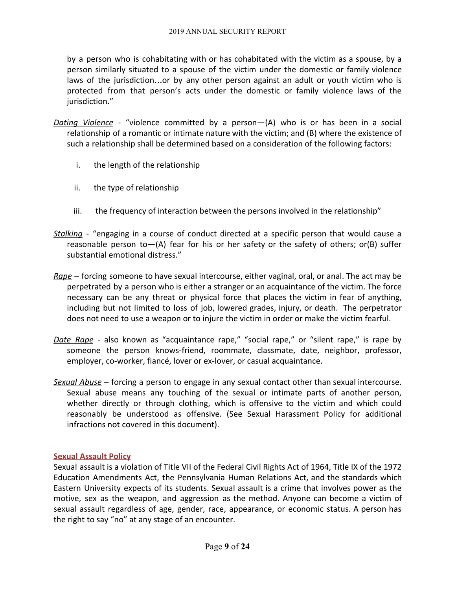by a person who is cohabitating with or has cohabitated with the victim as a spouse, by a person similarly situated to a spouse of the victim under the domestic or family violence laws of the jurisdiction…or by any other person against an adult or youth victim who is protected from that person's acts under the domestic or family violence laws of the jurisdiction."

- *Dating Violence* "violence committed by a person—(A) who is or has been in a social relationship of a romantic or intimate nature with the victim; and (B) where the existence of such a relationship shall be determined based on a consideration of the following factors:
	- i. the length of the relationship
	- ii. the type of relationship
	- iii. the frequency of interaction between the persons involved in the relationship"
- *Stalking -* "engaging in a course of conduct directed at a specific person that would cause a reasonable person to  $-(A)$  fear for his or her safety or the safety of others; or (B) suffer substantial emotional distress."
- *Rape* forcing someone to have sexual intercourse, either vaginal, oral, or anal. The act may be perpetrated by a person who is either a stranger or an acquaintance of the victim. The force necessary can be any threat or physical force that places the victim in fear of anything, including but not limited to loss of job, lowered grades, injury, or death. The perpetrator does not need to use a weapon or to injure the victim in order or make the victim fearful.
- *Date Rape* also known as "acquaintance rape," "social rape," or "silent rape," is rape by someone the person knows-friend, roommate, classmate, date, neighbor, professor, employer, co-worker, fiancé, lover or ex-lover, or casual acquaintance.
- *Sexual Abuse* forcing a person to engage in any sexual contact other than sexual intercourse. Sexual abuse means any touching of the sexual or intimate parts of another person, whether directly or through clothing, which is offensive to the victim and which could reasonably be understood as offensive. (See Sexual Harassment Policy for additional infractions not covered in this document).

### **Sexual Assault Policy**

Sexual assault is a violation of Title VII of the Federal Civil Rights Act of 1964, Title IX of the 1972 Education Amendments Act, the Pennsylvania Human Relations Act, and the standards which Eastern University expects of its students. Sexual assault is a crime that involves power as the motive, sex as the weapon, and aggression as the method. Anyone can become a victim of sexual assault regardless of age, gender, race, appearance, or economic status. A person has the right to say "no" at any stage of an encounter.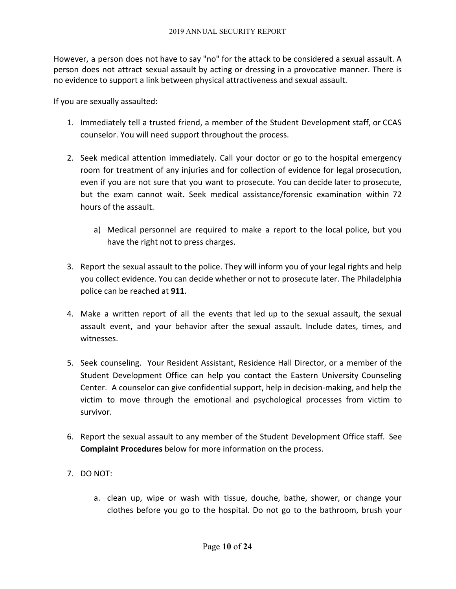However, a person does not have to say "no" for the attack to be considered a sexual assault. A person does not attract sexual assault by acting or dressing in a provocative manner. There is no evidence to support a link between physical attractiveness and sexual assault.

If you are sexually assaulted:

- 1. Immediately tell a trusted friend, a member of the Student Development staff, or CCAS counselor. You will need support throughout the process.
- 2. Seek medical attention immediately. Call your doctor or go to the hospital emergency room for treatment of any injuries and for collection of evidence for legal prosecution, even if you are not sure that you want to prosecute. You can decide later to prosecute, but the exam cannot wait. Seek medical assistance/forensic examination within 72 hours of the assault.
	- a) Medical personnel are required to make a report to the local police, but you have the right not to press charges.
- 3. Report the sexual assault to the police. They will inform you of your legal rights and help you collect evidence. You can decide whether or not to prosecute later. The Philadelphia police can be reached at **911**.
- 4. Make a written report of all the events that led up to the sexual assault, the sexual assault event, and your behavior after the sexual assault. Include dates, times, and witnesses.
- 5. Seek counseling. Your Resident Assistant, Residence Hall Director, or a member of the Student Development Office can help you contact the Eastern University Counseling Center. A counselor can give confidential support, help in decision-making, and help the victim to move through the emotional and psychological processes from victim to survivor.
- 6. Report the sexual assault to any member of the Student Development Office staff. See **Complaint Procedures** below for more information on the process.
- 7. DO NOT:
	- a. clean up, wipe or wash with tissue, douche, bathe, shower, or change your clothes before you go to the hospital. Do not go to the bathroom, brush your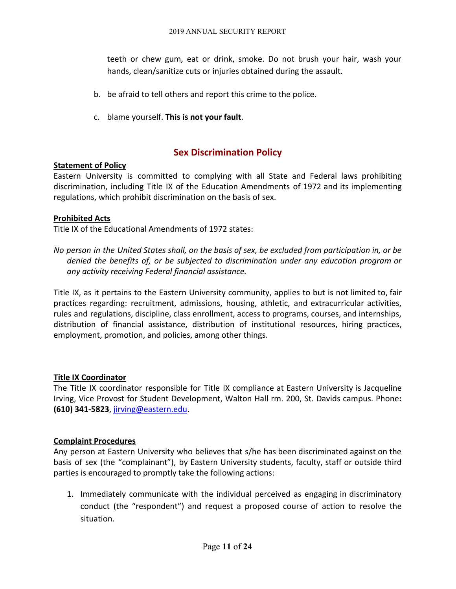teeth or chew gum, eat or drink, smoke. Do not brush your hair, wash your hands, clean/sanitize cuts or injuries obtained during the assault.

- b. be afraid to tell others and report this crime to the police.
- c. blame yourself. **This is not your fault**.

## **Sex Discrimination Policy**

### **Statement of Policy**

Eastern University is committed to complying with all State and Federal laws prohibiting discrimination, including Title IX of the Education Amendments of 1972 and its implementing regulations, which prohibit discrimination on the basis of sex.

### **Prohibited Acts**

Title IX of the Educational Amendments of 1972 states:

No person in the United States shall, on the basis of sex, be excluded from participation in, or be *denied the benefits of, or be subjected to discrimination under any education program or any activity receiving Federal financial assistance.*

Title IX, as it pertains to the Eastern University community, applies to but is not limited to, fair practices regarding: recruitment, admissions, housing, athletic, and extracurricular activities, rules and regulations, discipline, class enrollment, access to programs, courses, and internships, distribution of financial assistance, distribution of institutional resources, hiring practices, employment, promotion, and policies, among other things.

### **Title IX Coordinator**

The Title IX coordinator responsible for Title IX compliance at Eastern University is Jacqueline Irving, Vice Provost for Student Development, Walton Hall rm. 200, St. Davids campus. Phone**: (610) 341-5823**, [jirving@eastern.edu](mailto:jirving@eastern.edu).

### **Complaint Procedures**

Any person at Eastern University who believes that s/he has been discriminated against on the basis of sex (the "complainant"), by Eastern University students, faculty, staff or outside third parties is encouraged to promptly take the following actions:

1. Immediately communicate with the individual perceived as engaging in discriminatory conduct (the "respondent") and request a proposed course of action to resolve the situation.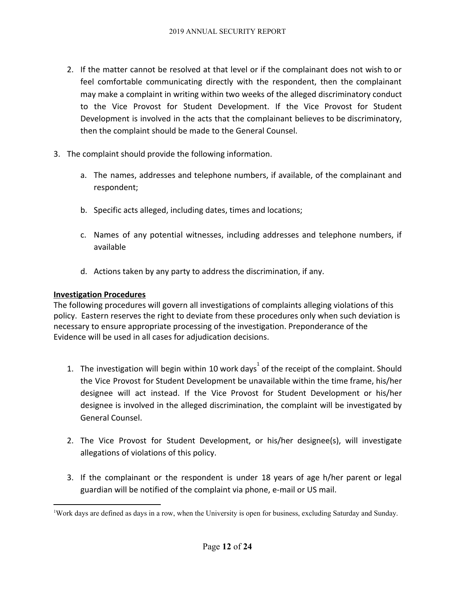- 2. If the matter cannot be resolved at that level or if the complainant does not wish to or feel comfortable communicating directly with the respondent, then the complainant may make a complaint in writing within two weeks of the alleged discriminatory conduct to the Vice Provost for Student Development. If the Vice Provost for Student Development is involved in the acts that the complainant believes to be discriminatory, then the complaint should be made to the General Counsel.
- 3. The complaint should provide the following information.
	- a. The names, addresses and telephone numbers, if available, of the complainant and respondent;
	- b. Specific acts alleged, including dates, times and locations;
	- c. Names of any potential witnesses, including addresses and telephone numbers, if available
	- d. Actions taken by any party to address the discrimination, if any.

### **Investigation Procedures**

The following procedures will govern all investigations of complaints alleging violations of this policy. Eastern reserves the right to deviate from these procedures only when such deviation is necessary to ensure appropriate processing of the investigation. Preponderance of the Evidence will be used in all cases for adjudication decisions.

- 1. The investigation will begin within 10 work days<sup>1</sup> of the receipt of the complaint. Should the Vice Provost for Student Development be unavailable within the time frame, his/her designee will act instead. If the Vice Provost for Student Development or his/her designee is involved in the alleged discrimination, the complaint will be investigated by General Counsel.
- 2. The Vice Provost for Student Development, or his/her designee(s), will investigate allegations of violations of this policy.
- 3. If the complainant or the respondent is under 18 years of age h/her parent or legal guardian will be notified of the complaint via phone, e-mail or US mail.

<sup>1</sup>Work days are defined as days in a row, when the University is open for business, excluding Saturday and Sunday.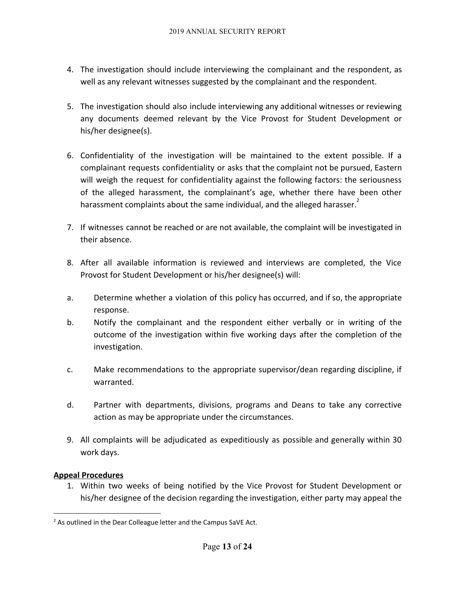- 4. The investigation should include interviewing the complainant and the respondent, as well as any relevant witnesses suggested by the complainant and the respondent.
- 5. The investigation should also include interviewing any additional witnesses or reviewing any documents deemed relevant by the Vice Provost for Student Development or his/her designee(s).
- 6. Confidentiality of the investigation will be maintained to the extent possible. If a complainant requests confidentiality or asks that the complaint not be pursued, Eastern will weigh the request for confidentiality against the following factors: the seriousness of the alleged harassment, the complainant's age, whether there have been other harassment complaints about the same individual, and the alleged harasser.
- 7. If witnesses cannot be reached or are not available, the complaint will be investigated in their absence.
- 8. After all available information is reviewed and interviews are completed, the Vice Provost for Student Development or his/her designee(s) will:
- a. Determine whether a violation of this policy has occurred, and if so, the appropriate response.
- b. Notify the complainant and the respondent either verbally or in writing of the outcome of the investigation within five working days after the completion of the investigation.
- c. Make recommendations to the appropriate supervisor/dean regarding discipline, if warranted.
- d. Partner with departments, divisions, programs and Deans to take any corrective action as may be appropriate under the circumstances.
- 9. All complaints will be adjudicated as expeditiously as possible and generally within 30 work days.

### **Appeal Procedures**

1. Within two weeks of being notified by the Vice Provost for Student Development or his/her designee of the decision regarding the investigation, either party may appeal the

<sup>&</sup>lt;sup>2</sup> As outlined in the Dear Colleague letter and the Campus SaVE Act.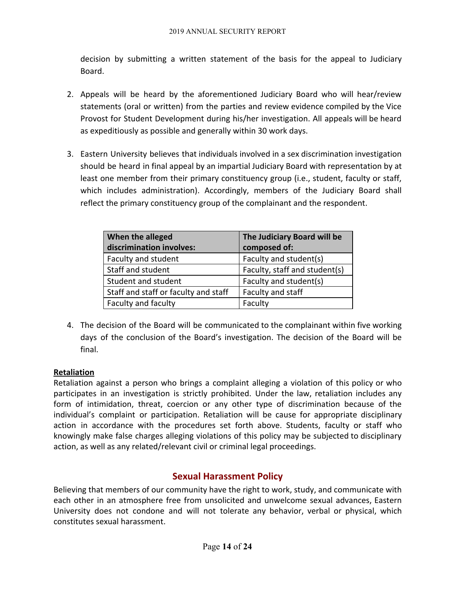decision by submitting a written statement of the basis for the appeal to Judiciary Board.

- 2. Appeals will be heard by the aforementioned Judiciary Board who will hear/review statements (oral or written) from the parties and review evidence compiled by the Vice Provost for Student Development during his/her investigation. All appeals will be heard as expeditiously as possible and generally within 30 work days.
- 3. Eastern University believes that individuals involved in a sex discrimination investigation should be heard in final appeal by an impartial Judiciary Board with representation by at least one member from their primary constituency group (i.e., student, faculty or staff, which includes administration). Accordingly, members of the Judiciary Board shall reflect the primary constituency group of the complainant and the respondent.

| When the alleged<br>discrimination involves: | The Judiciary Board will be<br>composed of: |
|----------------------------------------------|---------------------------------------------|
| Faculty and student                          | Faculty and student(s)                      |
| Staff and student                            | Faculty, staff and student(s)               |
| Student and student                          | Faculty and student(s)                      |
| Staff and staff or faculty and staff         | Faculty and staff                           |
| Faculty and faculty                          | Faculty                                     |

4. The decision of the Board will be communicated to the complainant within five working days of the conclusion of the Board's investigation. The decision of the Board will be final.

## **Retaliation**

Retaliation against a person who brings a complaint alleging a violation of this policy or who participates in an investigation is strictly prohibited. Under the law, retaliation includes any form of intimidation, threat, coercion or any other type of discrimination because of the individual's complaint or participation. Retaliation will be cause for appropriate disciplinary action in accordance with the procedures set forth above. Students, faculty or staff who knowingly make false charges alleging violations of this policy may be subjected to disciplinary action, as well as any related/relevant civil or criminal legal proceedings.

## **Sexual Harassment Policy**

Believing that members of our community have the right to work, study, and communicate with each other in an atmosphere free from unsolicited and unwelcome sexual advances, Eastern University does not condone and will not tolerate any behavior, verbal or physical, which constitutes sexual harassment.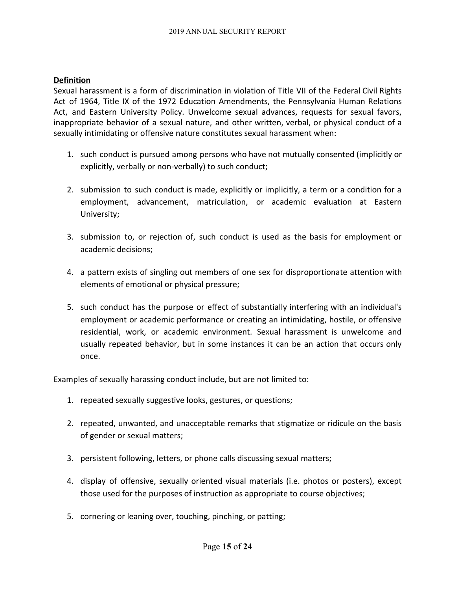### **Definition**

Sexual harassment is a form of discrimination in violation of Title VII of the Federal Civil Rights Act of 1964, Title IX of the 1972 Education Amendments, the Pennsylvania Human Relations Act, and Eastern University Policy. Unwelcome sexual advances, requests for sexual favors, inappropriate behavior of a sexual nature, and other written, verbal, or physical conduct of a sexually intimidating or offensive nature constitutes sexual harassment when:

- 1. such conduct is pursued among persons who have not mutually consented (implicitly or explicitly, verbally or non-verbally) to such conduct;
- 2. submission to such conduct is made, explicitly or implicitly, a term or a condition for a employment, advancement, matriculation, or academic evaluation at Eastern University;
- 3. submission to, or rejection of, such conduct is used as the basis for employment or academic decisions;
- 4. a pattern exists of singling out members of one sex for disproportionate attention with elements of emotional or physical pressure;
- 5. such conduct has the purpose or effect of substantially interfering with an individual's employment or academic performance or creating an intimidating, hostile, or offensive residential, work, or academic environment. Sexual harassment is unwelcome and usually repeated behavior, but in some instances it can be an action that occurs only once.

Examples of sexually harassing conduct include, but are not limited to:

- 1. repeated sexually suggestive looks, gestures, or questions;
- 2. repeated, unwanted, and unacceptable remarks that stigmatize or ridicule on the basis of gender or sexual matters;
- 3. persistent following, letters, or phone calls discussing sexual matters;
- 4. display of offensive, sexually oriented visual materials (i.e. photos or posters), except those used for the purposes of instruction as appropriate to course objectives;
- 5. cornering or leaning over, touching, pinching, or patting;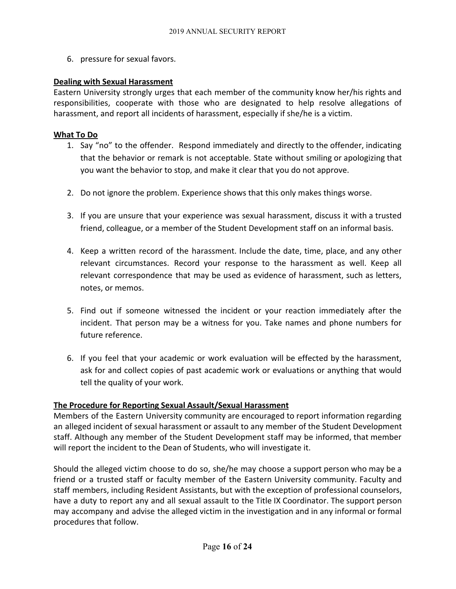6. pressure for sexual favors.

### **Dealing with Sexual Harassment**

Eastern University strongly urges that each member of the community know her/his rights and responsibilities, cooperate with those who are designated to help resolve allegations of harassment, and report all incidents of harassment, especially if she/he is a victim.

### **What To Do**

- 1. Say "no" to the offender. Respond immediately and directly to the offender, indicating that the behavior or remark is not acceptable. State without smiling or apologizing that you want the behavior to stop, and make it clear that you do not approve.
- 2. Do not ignore the problem. Experience shows that this only makes things worse.
- 3. If you are unsure that your experience was sexual harassment, discuss it with a trusted friend, colleague, or a member of the Student Development staff on an informal basis.
- 4. Keep a written record of the harassment. Include the date, time, place, and any other relevant circumstances. Record your response to the harassment as well. Keep all relevant correspondence that may be used as evidence of harassment, such as letters, notes, or memos.
- 5. Find out if someone witnessed the incident or your reaction immediately after the incident. That person may be a witness for you. Take names and phone numbers for future reference.
- 6. If you feel that your academic or work evaluation will be effected by the harassment, ask for and collect copies of past academic work or evaluations or anything that would tell the quality of your work.

## **The Procedure for Reporting Sexual Assault/Sexual Harassment**

Members of the Eastern University community are encouraged to report information regarding an alleged incident of sexual harassment or assault to any member of the Student Development staff. Although any member of the Student Development staff may be informed, that member will report the incident to the Dean of Students, who will investigate it.

Should the alleged victim choose to do so, she/he may choose a support person who may be a friend or a trusted staff or faculty member of the Eastern University community. Faculty and staff members, including Resident Assistants, but with the exception of professional counselors, have a duty to report any and all sexual assault to the Title IX Coordinator. The support person may accompany and advise the alleged victim in the investigation and in any informal or formal procedures that follow.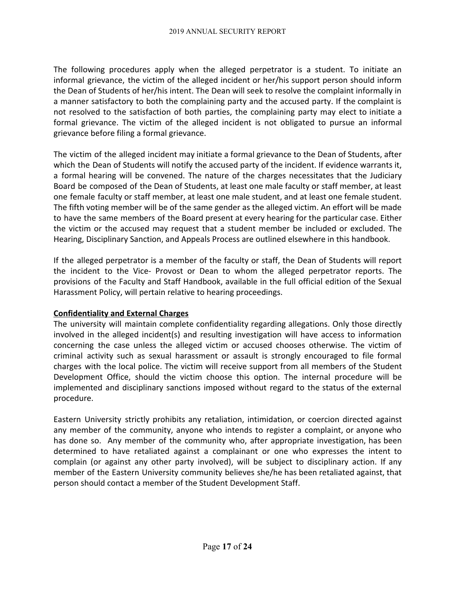The following procedures apply when the alleged perpetrator is a student. To initiate an informal grievance, the victim of the alleged incident or her/his support person should inform the Dean of Students of her/his intent. The Dean will seek to resolve the complaint informally in a manner satisfactory to both the complaining party and the accused party. If the complaint is not resolved to the satisfaction of both parties, the complaining party may elect to initiate a formal grievance. The victim of the alleged incident is not obligated to pursue an informal grievance before filing a formal grievance.

The victim of the alleged incident may initiate a formal grievance to the Dean of Students, after which the Dean of Students will notify the accused party of the incident. If evidence warrants it, a formal hearing will be convened. The nature of the charges necessitates that the Judiciary Board be composed of the Dean of Students, at least one male faculty or staff member, at least one female faculty or staff member, at least one male student, and at least one female student. The fifth voting member will be of the same gender as the alleged victim. An effort will be made to have the same members of the Board present at every hearing for the particular case. Either the victim or the accused may request that a student member be included or excluded. The Hearing, Disciplinary Sanction, and Appeals Process are outlined elsewhere in this handbook.

If the alleged perpetrator is a member of the faculty or staff, the Dean of Students will report the incident to the Vice- Provost or Dean to whom the alleged perpetrator reports. The provisions of the Faculty and Staff Handbook, available in the full official edition of the Sexual Harassment Policy, will pertain relative to hearing proceedings.

### **Confidentiality and External Charges**

The university will maintain complete confidentiality regarding allegations. Only those directly involved in the alleged incident(s) and resulting investigation will have access to information concerning the case unless the alleged victim or accused chooses otherwise. The victim of criminal activity such as sexual harassment or assault is strongly encouraged to file formal charges with the local police. The victim will receive support from all members of the Student Development Office, should the victim choose this option. The internal procedure will be implemented and disciplinary sanctions imposed without regard to the status of the external procedure.

Eastern University strictly prohibits any retaliation, intimidation, or coercion directed against any member of the community, anyone who intends to register a complaint, or anyone who has done so. Any member of the community who, after appropriate investigation, has been determined to have retaliated against a complainant or one who expresses the intent to complain (or against any other party involved), will be subject to disciplinary action. If any member of the Eastern University community believes she/he has been retaliated against, that person should contact a member of the Student Development Staff.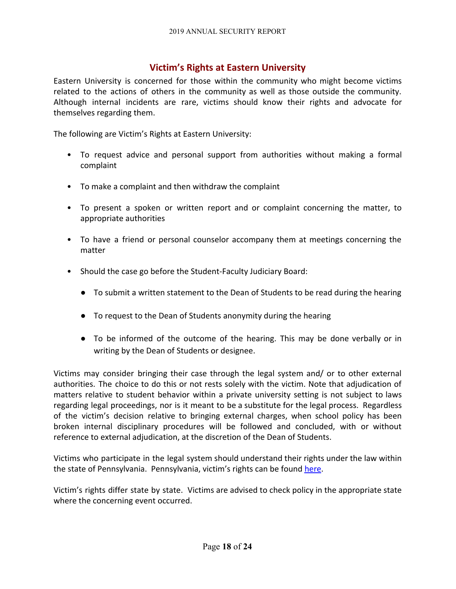## **Victim's Rights at Eastern University**

Eastern University is concerned for those within the community who might become victims related to the actions of others in the community as well as those outside the community. Although internal incidents are rare, victims should know their rights and advocate for themselves regarding them.

The following are Victim's Rights at Eastern University:

- To request advice and personal support from authorities without making a formal complaint
- To make a complaint and then withdraw the complaint
- To present a spoken or written report and or complaint concerning the matter, to appropriate authorities
- To have a friend or personal counselor accompany them at meetings concerning the matter
- Should the case go before the Student-Faculty Judiciary Board:
	- To submit a written statement to the Dean of Students to be read during the hearing
	- To request to the Dean of Students anonymity during the hearing
	- To be informed of the outcome of the hearing. This may be done verbally or in writing by the Dean of Students or designee.

Victims may consider bringing their case through the legal system and/ or to other external authorities. The choice to do this or not rests solely with the victim. Note that adjudication of matters relative to student behavior within a private university setting is not subject to laws regarding legal proceedings, nor is it meant to be a substitute for the legal process. Regardless of the victim's decision relative to bringing external charges, when school policy has been broken internal disciplinary procedures will be followed and concluded, with or without reference to external adjudication, at the discretion of the Dean of Students.

Victims who participate in the legal system should understand their rights under the law within the state of Pennsylvania. Pennsylvania, victim's rights can be found [here](http://crime.about.com/od/victims/qt/victims_pa.htm).

Victim's rights differ state by state. Victims are advised to check policy in the appropriate state where the concerning event occurred.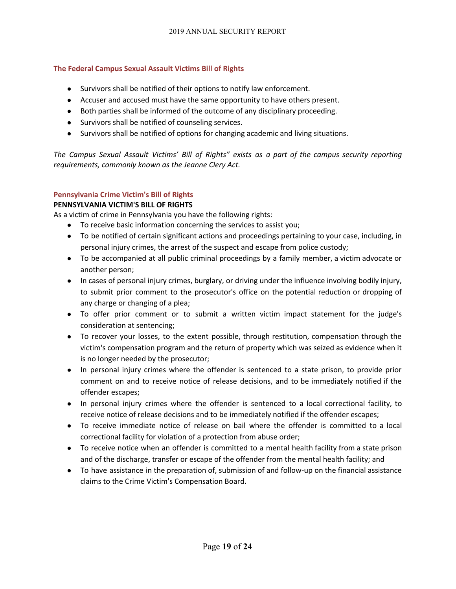### **The Federal Campus Sexual Assault Victims Bill of Rights**

- Survivors shall be notified of their options to notify law enforcement.
- Accuser and accused must have the same opportunity to have others present.
- Both parties shall be informed of the outcome of any disciplinary proceeding.
- Survivors shall be notified of counseling services.
- Survivors shall be notified of options for changing academic and living situations.

*The Campus Sexual Assault Victims' Bill of Rights" exists as a part of the campus security reporting requirements, commonly known as the Jeanne Clery Act.*

### **Pennsylvania Crime Victim's Bill of Rights**

### **PENNSYLVANIA VICTIM'S BILL OF RIGHTS**

As a victim of crime in Pennsylvania you have the following rights:

- To receive basic information concerning the services to assist you;
- To be notified of certain significant actions and proceedings pertaining to your case, including, in personal injury crimes, the arrest of the suspect and escape from police custody;
- To be accompanied at all public criminal proceedings by a family member, a victim advocate or another person;
- In cases of personal injury crimes, burglary, or driving under the influence involving bodily injury, to submit prior comment to the prosecutor's office on the potential reduction or dropping of any charge or changing of a plea;
- To offer prior comment or to submit a written victim impact statement for the judge's consideration at sentencing;
- To recover your losses, to the extent possible, through restitution, compensation through the victim's compensation program and the return of property which was seized as evidence when it is no longer needed by the prosecutor;
- In personal injury crimes where the offender is sentenced to a state prison, to provide prior comment on and to receive notice of release decisions, and to be immediately notified if the offender escapes;
- In personal injury crimes where the offender is sentenced to a local correctional facility, to receive notice of release decisions and to be immediately notified if the offender escapes;
- To receive immediate notice of release on bail where the offender is committed to a local correctional facility for violation of a protection from abuse order;
- To receive notice when an offender is committed to a mental health facility from a state prison and of the discharge, transfer or escape of the offender from the mental health facility; and
- To have assistance in the preparation of, submission of and follow-up on the financial assistance claims to the Crime Victim's Compensation Board.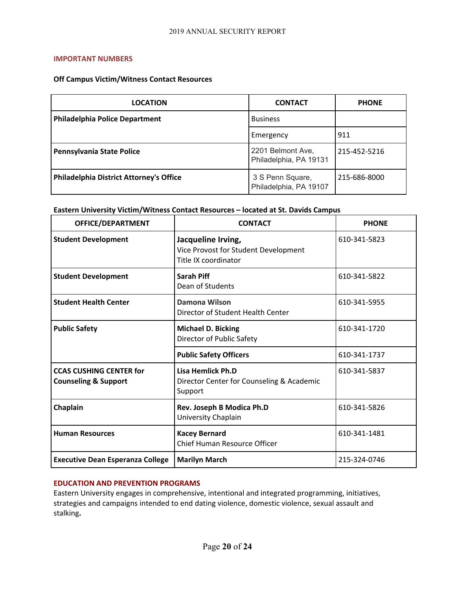#### **IMPORTANT NUMBERS**

### **Off Campus Victim/Witness Contact Resources**

| <b>LOCATION</b>                                | <b>CONTACT</b>                              | <b>PHONE</b> |
|------------------------------------------------|---------------------------------------------|--------------|
| <b>Philadelphia Police Department</b>          | <b>Business</b>                             |              |
|                                                | Emergency                                   | 911          |
| Pennsylvania State Police                      | 2201 Belmont Ave,<br>Philadelphia, PA 19131 | 215-452-5216 |
| <b>Philadelphia District Attorney's Office</b> | 3 S Penn Square,<br>Philadelphia, PA 19107  | 215-686-8000 |

### **Eastern University Victim/Witness Contact Resources – located at St. Davids Campus**

| OFFICE/DEPARTMENT                                                 | <b>CONTACT</b>                                                                     | <b>PHONE</b> |
|-------------------------------------------------------------------|------------------------------------------------------------------------------------|--------------|
| <b>Student Development</b>                                        | Jacqueline Irving,<br>Vice Provost for Student Development<br>Title IX coordinator | 610-341-5823 |
| <b>Student Development</b>                                        | Sarah Piff<br>Dean of Students                                                     | 610-341-5822 |
| <b>Student Health Center</b>                                      | <b>Damona Wilson</b><br>Director of Student Health Center                          | 610-341-5955 |
| <b>Public Safety</b>                                              | <b>Michael D. Bicking</b><br>Director of Public Safety                             | 610-341-1720 |
|                                                                   | <b>Public Safety Officers</b>                                                      | 610-341-1737 |
| <b>CCAS CUSHING CENTER for</b><br><b>Counseling &amp; Support</b> | Lisa Hemlick Ph.D<br>Director Center for Counseling & Academic<br>Support          | 610-341-5837 |
| Chaplain                                                          | Rev. Joseph B Modica Ph.D<br>University Chaplain                                   | 610-341-5826 |
| <b>Human Resources</b>                                            | <b>Kacey Bernard</b><br><b>Chief Human Resource Officer</b>                        | 610-341-1481 |
| <b>Executive Dean Esperanza College</b>                           | <b>Marilyn March</b>                                                               | 215-324-0746 |

### **EDUCATION AND PREVENTION PROGRAMS**

Eastern University engages in comprehensive, intentional and integrated programming, initiatives, strategies and campaigns intended to end dating violence, domestic violence, sexual assault and stalking**.**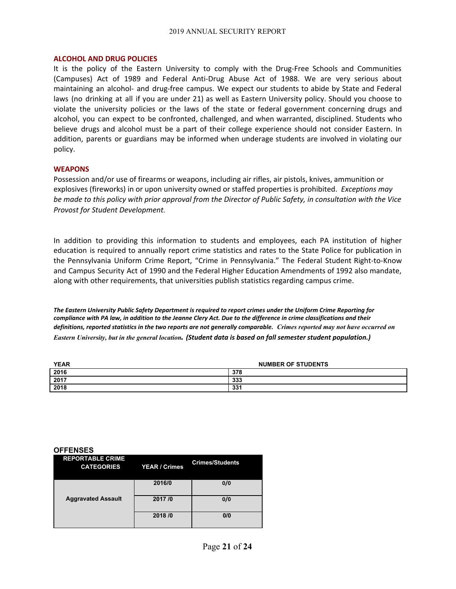#### **ALCOHOL AND DRUG POLICIES**

It is the policy of the Eastern University to comply with the Drug-Free Schools and Communities (Campuses) Act of 1989 and Federal Anti-Drug Abuse Act of 1988. We are very serious about maintaining an alcohol- and drug-free campus. We expect our students to abide by State and Federal laws (no drinking at all if you are under 21) as well as Eastern University policy. Should you choose to violate the university policies or the laws of the state or federal government concerning drugs and alcohol, you can expect to be confronted, challenged, and when warranted, disciplined. Students who believe drugs and alcohol must be a part of their college experience should not consider Eastern. In addition, parents or guardians may be informed when underage students are involved in violating our policy.

#### **WEAPONS**

Possession and/or use of firearms or weapons, including air rifles, air pistols, knives, ammunition or explosives (fireworks) in or upon university owned or staffed properties is prohibited. *Exceptions may* be made to this policy with prior approval from the Director of Public Safety, in consultation with the Vice *Provost for Student Development.*

In addition to providing this information to students and employees, each PA institution of higher education is required to annually report crime statistics and rates to the State Police for publication in the Pennsylvania Uniform Crime Report, "Crime in Pennsylvania." The Federal Student Right-to-Know and Campus Security Act of 1990 and the Federal Higher Education Amendments of 1992 also mandate, along with other requirements, that universities publish statistics regarding campus crime.

*The Eastern University Public Safety Department is required to report crimes under the Uniform Crime Reporting for compliance with PA law, in addition to the Jeanne Clery Act. Due to the difference in crime classifications and their definitions, reported statistics in the two reports are not generally comparable. Crimes reported may not have occurred on Eastern University, but in the general location. (Student data is based on fall semester student population.)*

| <b>YEAR</b> | <b>NUMBER OF STUDENTS</b> |
|-------------|---------------------------|
| 2016        | 378                       |
| 2017        | 333                       |
| 2018        | 331                       |

#### **OFFENSES**

| <b>REPORTABLE CRIME</b><br><b>CATEGORIES</b> | <b>YEAR / Crimes</b> | <b>Crimes/Students</b> |
|----------------------------------------------|----------------------|------------------------|
|                                              | 2016/0               | 0/0                    |
| <b>Aggravated Assault</b>                    | 2017/0               | 0/0                    |
|                                              | 2018/0               | 0/0                    |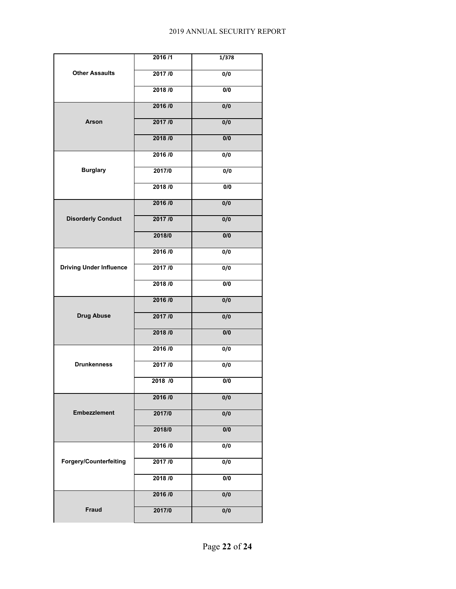| <b>Other Assaults</b>          | 2016/1 | 1/378            |
|--------------------------------|--------|------------------|
|                                | 2017/0 | 0/0              |
|                                | 2018/0 | 0/0              |
| Arson                          | 2016/0 | 0/0              |
|                                | 2017/0 | 0/0              |
|                                | 2018/0 | 0/0              |
| <b>Burglary</b>                | 2016/0 | 0/0              |
|                                | 2017/0 | $\overline{0/0}$ |
|                                | 2018/0 | 0/0              |
| <b>Disorderly Conduct</b>      | 2016/0 | 0/0              |
|                                | 2017/0 | 0/0              |
|                                | 2018/0 | 0/0              |
|                                | 2016/0 | 0/0              |
| <b>Driving Under Influence</b> | 2017/0 | 0/0              |
|                                | 2018/0 | 0/0              |
| <b>Drug Abuse</b>              | 2016/0 | 0/0              |
|                                | 2017/0 | 0/0              |
|                                | 2018/0 | 0/0              |
| <b>Drunkenness</b>             | 2016/0 | $\overline{0/0}$ |
|                                | 2017/0 | $\overline{0/0}$ |
|                                | 2018/0 | 0/0              |
| <b>Embezzlement</b>            | 2016/0 | 0/0              |
|                                | 2017/0 | 0/0              |
|                                | 2018/0 | $\overline{0/0}$ |
| <b>Forgery/Counterfeiting</b>  | 2016/0 | 0/0              |
|                                | 2017/0 | 0/0              |
|                                | 2018/0 | 0/0              |
|                                | 2016/0 | 0/0              |
| <b>Fraud</b>                   | 2017/0 | 0/0              |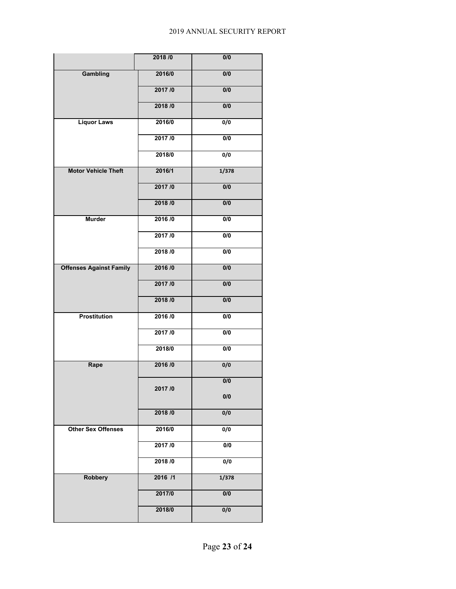#### 2019 ANNUAL SECURITY REPORT

|                                | 2018/0  | 0/0              |
|--------------------------------|---------|------------------|
| Gambling                       | 2016/0  | $\overline{0/0}$ |
|                                | 2017/0  | $\overline{0/0}$ |
|                                | 2018/0  | 0/0              |
| <b>Liquor Laws</b>             | 2016/0  | $\overline{0/0}$ |
|                                | 2017/0  | 0/0              |
|                                | 2018/0  | 0/0              |
| <b>Motor Vehicle Theft</b>     | 2016/1  | 1/378            |
|                                | 2017/0  | 0/0              |
|                                | 2018/0  | 0/0              |
| <b>Murder</b>                  | 2016/0  | 0/0              |
|                                | 2017/0  | 0/0              |
|                                | 2018/0  | 0/0              |
| <b>Offenses Against Family</b> | 2016/0  | $\overline{0/0}$ |
|                                | 2017/0  | $\overline{0/0}$ |
|                                | 2018/0  | 0/0              |
| <b>Prostitution</b>            | 2016/0  | 0/0              |
|                                | 2017/0  | 0/0              |
|                                | 2018/0  | 0/0              |
| Rape                           | 2016/0  | 0/0              |
|                                | 2017/0  | $\overline{0/0}$ |
|                                |         | 0/0              |
|                                | 2018/0  | 0/0              |
| <b>Other Sex Offenses</b>      | 2016/0  | $\overline{0/0}$ |
|                                | 2017/0  | 0/0              |
|                                | 2018/0  | 0/0              |
| <b>Robbery</b>                 | 2016 /1 | 1/378            |
|                                | 2017/0  | $\overline{0/0}$ |
|                                | 2018/0  | 0/0              |